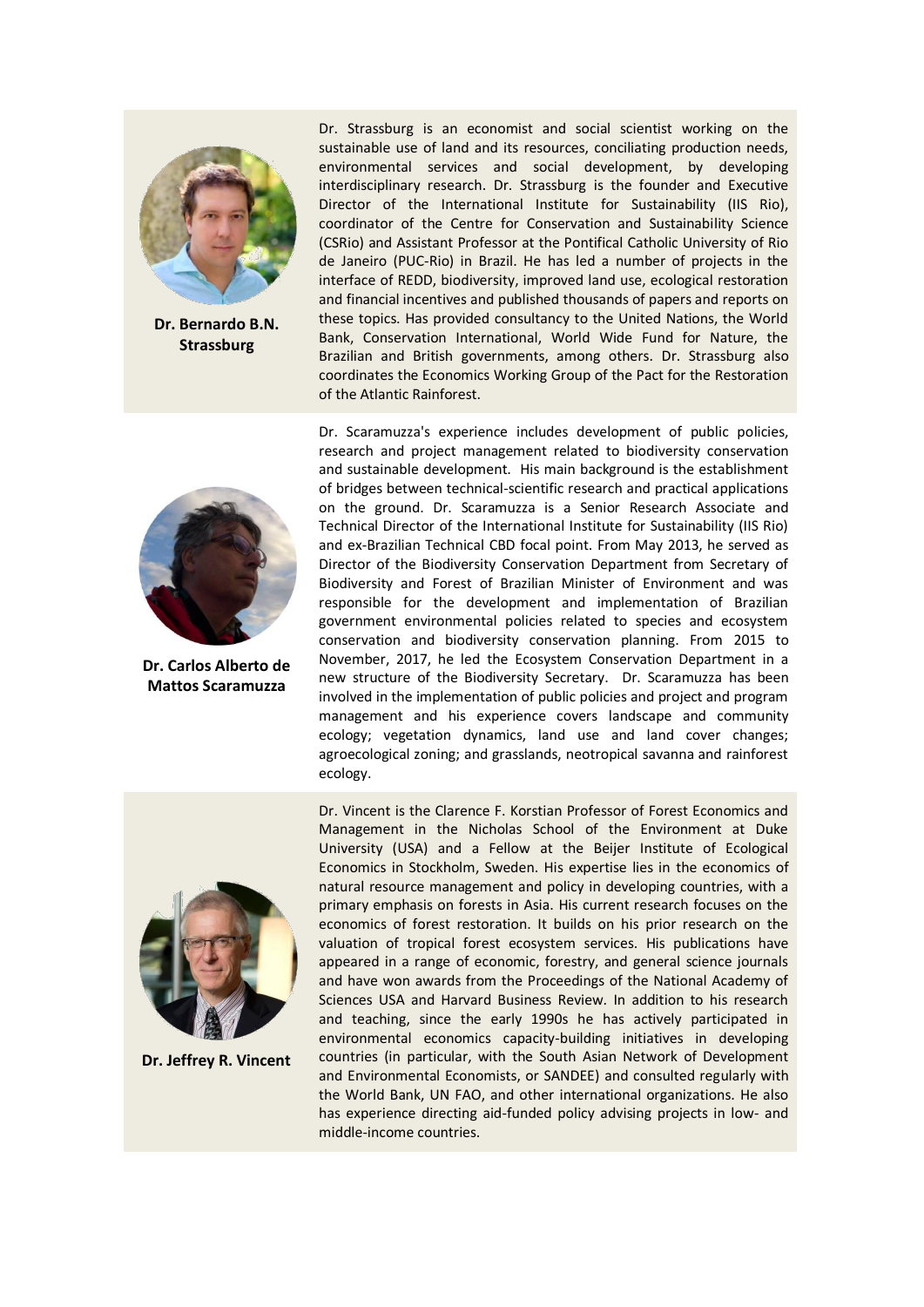

**Dr. Bernardo B.N. Strassburg**



**Dr. Carlos Alberto de Mattos Scaramuzza**

Dr. Strassburg is an economist and social scientist working on the sustainable use of land and its resources, conciliating production needs, environmental services and social development, by developing interdisciplinary research. Dr. Strassburg is the founder and Executive Director of the International Institute for Sustainability (IIS Rio), coordinator of the Centre for Conservation and Sustainability Science (CSRio) and Assistant Professor at the Pontifical Catholic University of Rio de Janeiro (PUC-Rio) in Brazil. He has led a number of projects in the interface of REDD, biodiversity, improved land use, ecological restoration and financial incentives and published thousands of papers and reports on these topics. Has provided consultancy to the United Nations, the World Bank, Conservation International, World Wide Fund for Nature, the Brazilian and British governments, among others. Dr. Strassburg also coordinates the Economics Working Group of the Pact for the Restoration of the Atlantic Rainforest.

Dr. Scaramuzza's experience includes development of public policies, research and project management related to biodiversity conservation and sustainable development. His main background is the establishment of bridges between technical-scientific research and practical applications on the ground. Dr. Scaramuzza is a Senior Research Associate and Technical Director of the International Institute for Sustainability (IIS Rio) and ex-Brazilian Technical CBD focal point. From May 2013, he served as Director of the Biodiversity Conservation Department from Secretary of Biodiversity and Forest of Brazilian Minister of Environment and was responsible for the development and implementation of Brazilian government environmental policies related to species and ecosystem conservation and biodiversity conservation planning. From 2015 to November, 2017, he led the Ecosystem Conservation Department in a new structure of the Biodiversity Secretary. Dr. Scaramuzza has been involved in the implementation of public policies and project and program management and his experience covers landscape and community ecology; vegetation dynamics, land use and land cover changes; agroecological zoning; and grasslands, neotropical savanna and rainforest ecology.



**Dr. Jeffrey R. Vincent**

Dr. Vincent is the Clarence F. Korstian Professor of Forest Economics and Management in the Nicholas School of the Environment at Duke University (USA) and a Fellow at the Beijer Institute of Ecological Economics in Stockholm, Sweden. His expertise lies in the economics of natural resource management and policy in developing countries, with a primary emphasis on forests in Asia. His current research focuses on the economics of forest restoration. It builds on his prior research on the valuation of tropical forest ecosystem services. His publications have appeared in a range of economic, forestry, and general science journals and have won awards from the Proceedings of the National Academy of Sciences USA and Harvard Business Review. In addition to his research and teaching, since the early 1990s he has actively participated in environmental economics capacity-building initiatives in developing countries (in particular, with the South Asian Network of Development and Environmental Economists, or SANDEE) and consulted regularly with the World Bank, UN FAO, and other international organizations. He also has experience directing aid-funded policy advising projects in low- and middle-income countries.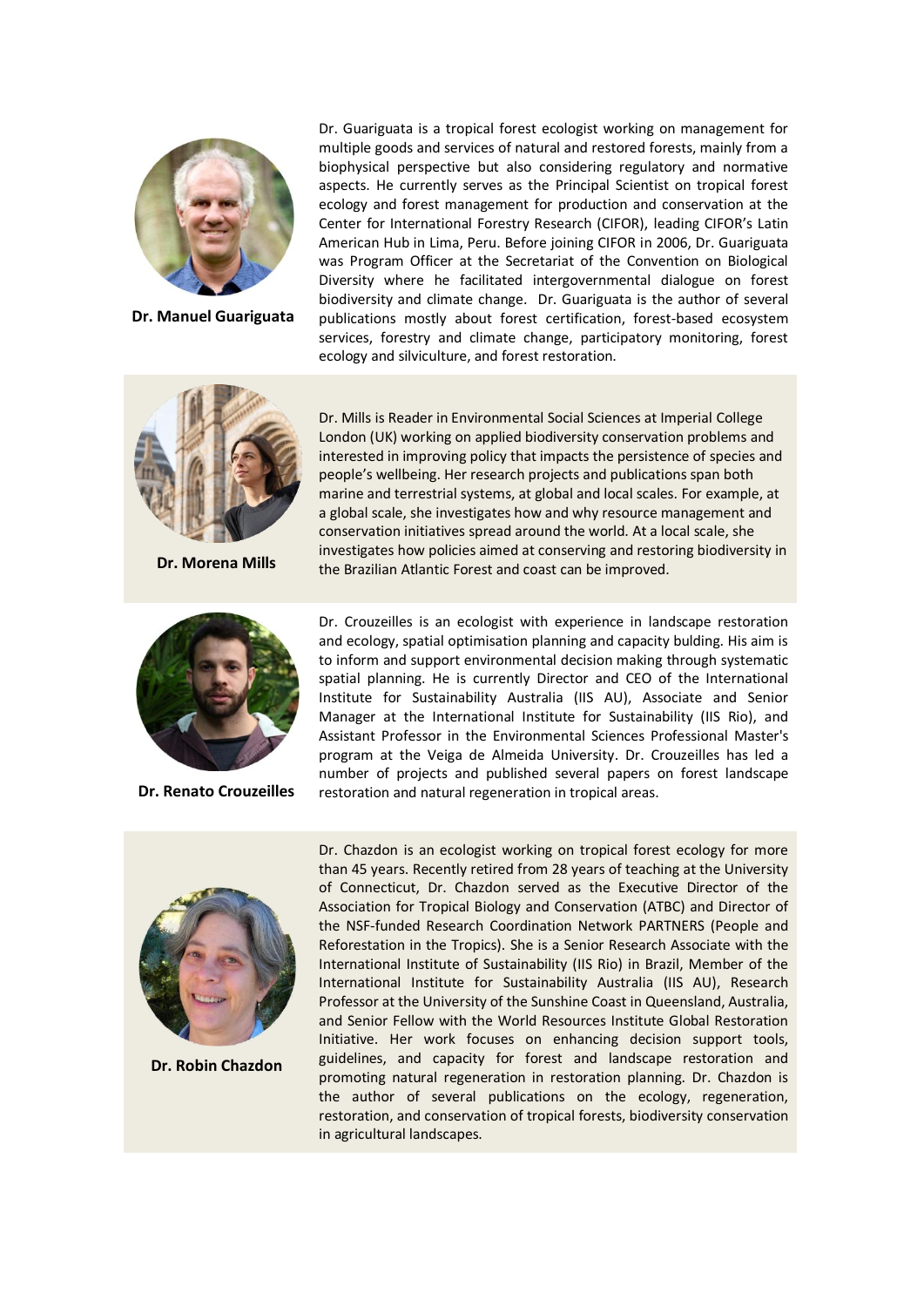

**Dr. Manuel Guariguata**

Dr. Guariguata is a tropical forest ecologist working on management for multiple goods and services of natural and restored forests, mainly from a biophysical perspective but also considering regulatory and normative aspects. He currently serves as the Principal Scientist on tropical forest ecology and forest management for production and conservation at the Center for International Forestry Research (CIFOR), leading CIFOR's Latin American Hub in Lima, Peru. Before joining CIFOR in 2006, Dr. Guariguata was Program Officer at the Secretariat of the Convention on Biological Diversity where he facilitated intergovernmental dialogue on forest biodiversity and climate change. Dr. Guariguata is the author of several publications mostly about forest certification, forest-based ecosystem services, forestry and climate change, participatory monitoring, forest ecology and silviculture, and forest restoration.



**Dr. Morena Mills**



**Dr. Renato Crouzeilles**

Dr. Mills is Reader in Environmental Social Sciences at Imperial College London (UK) working on applied biodiversity conservation problems and interested in improving policy that impacts the persistence of species and people's wellbeing. Her research projects and publications span both marine and terrestrial systems, at global and local scales. For example, at a global scale, she investigates how and why resource management and conservation initiatives spread around the world. At a local scale, she investigates how policies aimed at conserving and restoring biodiversity in the Brazilian Atlantic Forest and coast can be improved.

Dr. Crouzeilles is an ecologist with experience in landscape restoration and ecology, spatial optimisation planning and capacity bulding. His aim is to inform and support environmental decision making through systematic spatial planning. He is currently Director and CEO of the International Institute for Sustainability Australia (IIS AU), Associate and Senior Manager at the International Institute for Sustainability (IIS Rio), and Assistant Professor in the Environmental Sciences Professional Master's program at the Veiga de Almeida University. Dr. Crouzeilles has led a number of projects and published several papers on forest landscape restoration and natural regeneration in tropical areas.



**Dr. Robin Chazdon**

Dr. Chazdon is an ecologist working on tropical forest ecology for more than 45 years. Recently retired from 28 years of teaching at the University of Connecticut, Dr. Chazdon served as the Executive Director of the Association for Tropical Biology and Conservation (ATBC) and Director of the NSF-funded Research Coordination Network PARTNERS (People and Reforestation in the Tropics). She is a Senior Research Associate with the International Institute of Sustainability (IIS Rio) in Brazil, Member of the International Institute for Sustainability Australia (IIS AU), Research Professor at the University of the Sunshine Coast in Queensland, Australia, and Senior Fellow with the World Resources Institute Global Restoration Initiative. Her work focuses on enhancing decision support tools, guidelines, and capacity for forest and landscape restoration and promoting natural regeneration in restoration planning. Dr. Chazdon is the author of several publications on the ecology, regeneration, restoration, and conservation of tropical forests, biodiversity conservation in agricultural landscapes.